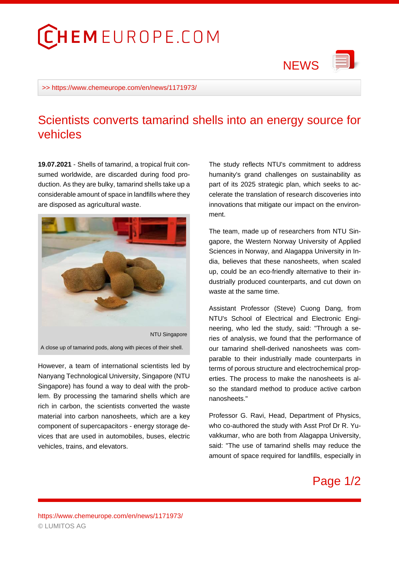# **CHEMEUROPE.COM**



>><https://www.chemeurope.com/en/news/1171973/>

## Scientists converts tamarind shells into an energy source for vehicles

**19.07.2021** - Shells of tamarind, a tropical fruit consumed worldwide, are discarded during food production. As they are bulky, tamarind shells take up a considerable amount of space in landfills where they are disposed as agricultural waste.



However, a team of international scientists led by Nanyang Technological University, Singapore (NTU Singapore) has found a way to deal with the problem. By processing the tamarind shells which are rich in carbon, the scientists converted the waste material into carbon nanosheets, which are a key component of supercapacitors - energy storage devices that are used in automobiles, buses, electric vehicles, trains, and elevators.

The study reflects NTU's commitment to address humanity's grand challenges on sustainability as part of its 2025 strategic plan, which seeks to accelerate the translation of research discoveries into innovations that mitigate our impact on the environment.

The team, made up of researchers from NTU Singapore, the Western Norway University of Applied Sciences in Norway, and Alagappa University in India, believes that these nanosheets, when scaled up, could be an eco-friendly alternative to their industrially produced counterparts, and cut down on waste at the same time.

Assistant Professor (Steve) Cuong Dang, from NTU's School of Electrical and Electronic Engineering, who led the study, said: "Through a series of analysis, we found that the performance of our tamarind shell-derived nanosheets was comparable to their industrially made counterparts in terms of porous structure and electrochemical properties. The process to make the nanosheets is also the standard method to produce active carbon nanosheets."

Professor G. Ravi, Head, Department of Physics, who co-authored the study with Asst Prof Dr R. Yuvakkumar, who are both from Alagappa University, said: "The use of tamarind shells may reduce the amount of space required for landfills, especially in

## Page 1/2